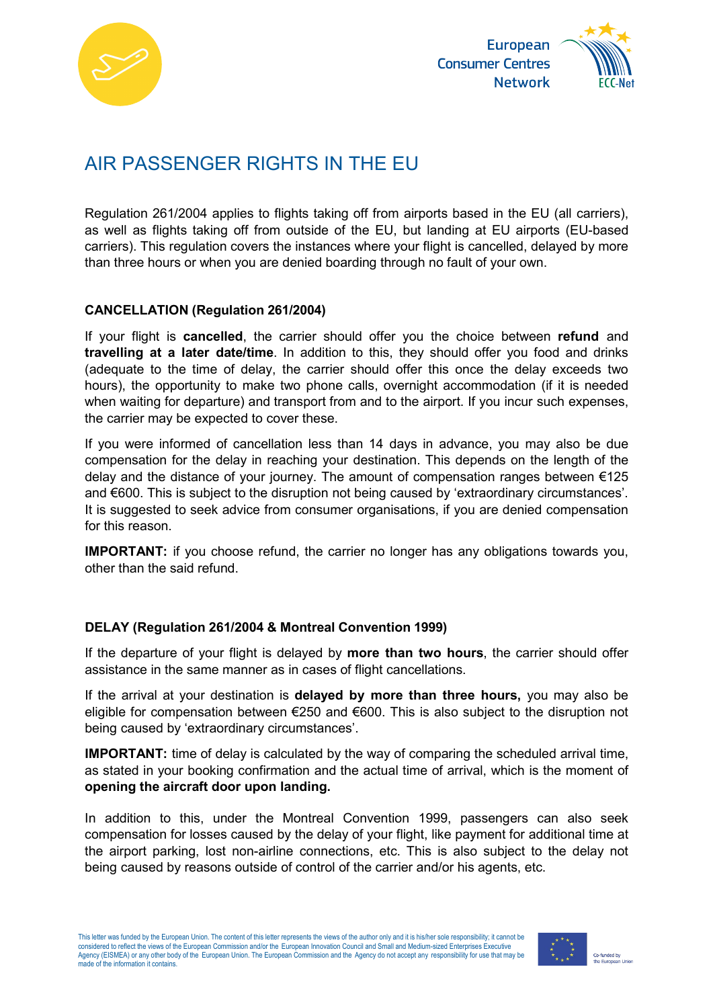



# AIR PASSENGER RIGHTS IN THE EU

Regulation 261/2004 applies to flights taking off from airports based in the EU (all carriers), as well as flights taking off from outside of the EU, but landing at EU airports (EU-based carriers). This regulation covers the instances where your flight is cancelled, delayed by more than three hours or when you are denied boarding through no fault of your own.

#### **CANCELLATION (Regulation 261/2004)**

If your flight is **cancelled**, the carrier should offer you the choice between **refund** and **travelling at a later date/time**. In addition to this, they should offer you food and drinks (adequate to the time of delay, the carrier should offer this once the delay exceeds two hours), the opportunity to make two phone calls, overnight accommodation (if it is needed when waiting for departure) and transport from and to the airport. If you incur such expenses, the carrier may be expected to cover these.

If you were informed of cancellation less than 14 days in advance, you may also be due compensation for the delay in reaching your destination. This depends on the length of the delay and the distance of your journey. The amount of compensation ranges between  $\epsilon$ 125 and €600. This is subject to the disruption not being caused by 'extraordinary circumstances'. It is suggested to seek advice from consumer organisations, if you are denied compensation for this reason.

**IMPORTANT:** if you choose refund, the carrier no longer has any obligations towards you, other than the said refund.

#### **DELAY (Regulation 261/2004 & Montreal Convention 1999)**

If the departure of your flight is delayed by **more than two hours**, the carrier should offer assistance in the same manner as in cases of flight cancellations.

If the arrival at your destination is **delayed by more than three hours,** you may also be eligible for compensation between €250 and €600. This is also subject to the disruption not being caused by 'extraordinary circumstances'.

**IMPORTANT:** time of delay is calculated by the way of comparing the scheduled arrival time, as stated in your booking confirmation and the actual time of arrival, which is the moment of **opening the aircraft door upon landing.**

In addition to this, under the Montreal Convention 1999, passengers can also seek compensation for losses caused by the delay of your flight, like payment for additional time at the airport parking, lost non-airline connections, etc. This is also subject to the delay not being caused by reasons outside of control of the carrier and/or his agents, etc.

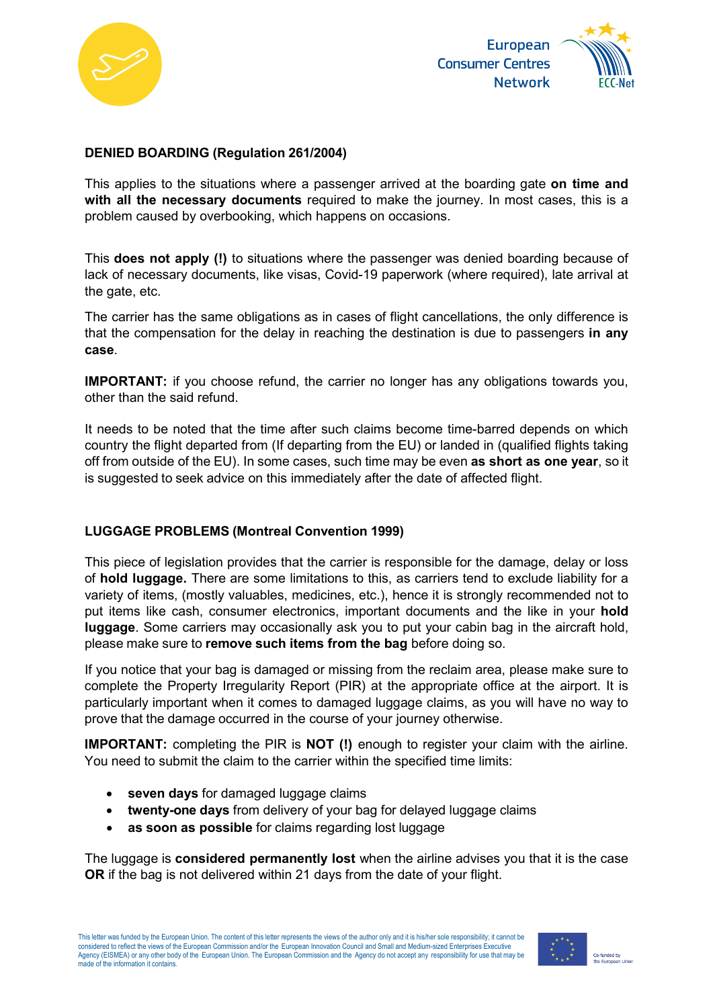



### **DENIED BOARDING (Regulation 261/2004)**

This applies to the situations where a passenger arrived at the boarding gate **on time and with all the necessary documents** required to make the journey. In most cases, this is a problem caused by overbooking, which happens on occasions.

This **does not apply (!)** to situations where the passenger was denied boarding because of lack of necessary documents, like visas, Covid-19 paperwork (where required), late arrival at the gate, etc.

The carrier has the same obligations as in cases of flight cancellations, the only difference is that the compensation for the delay in reaching the destination is due to passengers **in any case**.

**IMPORTANT:** if you choose refund, the carrier no longer has any obligations towards you, other than the said refund.

It needs to be noted that the time after such claims become time-barred depends on which country the flight departed from (If departing from the EU) or landed in (qualified flights taking off from outside of the EU). In some cases, such time may be even **as short as one year**, so it is suggested to seek advice on this immediately after the date of affected flight.

# **LUGGAGE PROBLEMS (Montreal Convention 1999)**

This piece of legislation provides that the carrier is responsible for the damage, delay or loss of **hold luggage.** There are some limitations to this, as carriers tend to exclude liability for a variety of items, (mostly valuables, medicines, etc.), hence it is strongly recommended not to put items like cash, consumer electronics, important documents and the like in your **hold luggage**. Some carriers may occasionally ask you to put your cabin bag in the aircraft hold, please make sure to **remove such items from the bag** before doing so.

If you notice that your bag is damaged or missing from the reclaim area, please make sure to complete the Property Irregularity Report (PIR) at the appropriate office at the airport. It is particularly important when it comes to damaged luggage claims, as you will have no way to prove that the damage occurred in the course of your journey otherwise.

**IMPORTANT:** completing the PIR is **NOT (!)** enough to register your claim with the airline. You need to submit the claim to the carrier within the specified time limits:

- **seven days** for damaged luggage claims
- **twenty-one days** from delivery of your bag for delayed luggage claims
- **as soon as possible** for claims regarding lost luggage

The luggage is **considered permanently lost** when the airline advises you that it is the case **OR** if the bag is not delivered within 21 days from the date of your flight.